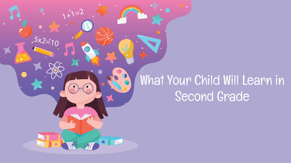### What Your Child Will Learn in Second Grade

 $1+i=2$ 

 $.5x2=10$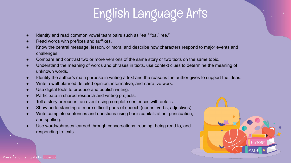### English Language Arts

- Identify and read common vowel team pairs such as "ea," "oa," "ee."
- Read words with prefixes and suffixes.
- Know the central message, lesson, or moral and describe how characters respond to major events and challenges.
- Compare and contrast two or more versions of the same story or two texts on the same topic.
- Understand the meaning of words and phrases in texts, use context clues to determine the meaning of unknown words.
- Identify the author's main purpose in writing a text and the reasons the author gives to support the ideas.
- Write a well-planned detailed opinion, informative, and narrative work.
- Use digital tools to produce and publish writing.
- Participate in shared research and writing projects.
- Tell a story or recount an event using complete sentences with details.
- Show understanding of more difficult parts of speech (nouns, verbs, adjectives).
- Write complete sentences and questions using basic capitalization, punctuation, and spelling.
- Use words/phrases learned through conversations, reading, being read to, and responding to texts.

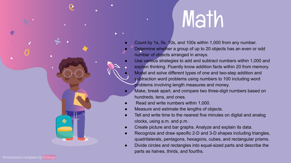# **Math**

- Count by 1s, 5s, 10s, and 100s within 1,000 from any number.
- Determine whether a group of up to 20 objects has an even or odd number of objects arranged in arrays.
- Use various strategies to add and subtract numbers within 1,000 and
	- explain thinking. Fluently know addition facts within 20 from memory.
	- Model and solve different types of one and two-step addition and subtraction word problems using numbers to 100 including word problems involving length measures and money.
- Make, break apart, and compare two three-digit numbers based on hundreds, tens, and ones.
- Read and write numbers within 1,000.
- Measure and estimate the lengths of objects.
- Tell and write time to the nearest five minutes on digital and analog clocks, using a.m. and p.m.
- Create picture and bar graphs. Analyze and explain its data.
- Recognize and draw specific 2-D and 3-D shapes including triangles, quadrilaterals, pentagons, hexagons, cubes, and rectangular prisms.
- Divide circles and rectangles into equal-sized parts and describe the parts as halves, thirds, and fourths.

 $\bullet$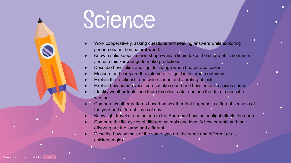### Science

- Work cooperatively, asking questions and seeking answers while exploring phenomena in their natural world.
- Know a solid keeps its own shape while a liquid takes the shape of its container and use this knowledge to make predictions.
- Describe how solids and liquids change when heated and cooled.
- Measure and compare the volume of a liquid in different containers.
- Explain the relationship between sound and vibrating objects.
- Explain how human vocal cords make sound and how the ear receives sound.
- Identify weather tools, use them to collect data, and use the data to describe weather.
- Compare weather patterns based on weather that happens in different seasons of the year and different times of day.
- Know light travels from the sun to the Earth and how the sunlight affects the earth.
- Compare the life cycles of different animals and identify how parents and their offspring are the same and different.
- Describe how animals of the same type are the same and different (e.g., chicken/eagle)